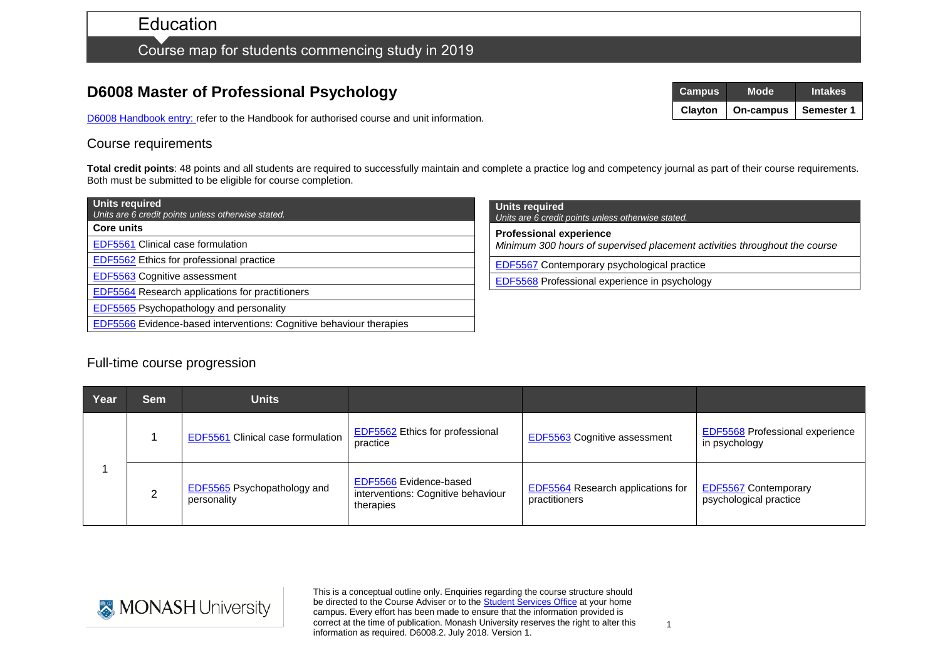# **Education**

## Course map for students commencing study in 2019

## **D6008 Master of Professional Psychology**

D6008 [Handbook entry: r](http://www.monash.edu.au/pubs/2019handbooks/courses/D6008.html)efer to the Handbook for authorised course and unit information.

#### Course requirements

Total credit points: 48 points and all students are required to successfully maintain and complete a practice log and competency journal as part of their course requirements. Both must be submitted to be eligible for course completion.

| <b>Units required</b><br>Units are 6 credit points unless otherwise stated. |  |  |  |  |
|-----------------------------------------------------------------------------|--|--|--|--|
| <b>Core units</b>                                                           |  |  |  |  |
| <b>EDF5561 Clinical case formulation</b>                                    |  |  |  |  |
| EDF5562 Ethics for professional practice                                    |  |  |  |  |
| EDF5563 Cognitive assessment                                                |  |  |  |  |
| EDF5564 Research applications for practitioners                             |  |  |  |  |
| EDF5565 Psychopathology and personality                                     |  |  |  |  |
| EDF5566 Evidence-based interventions: Cognitive behaviour therapies         |  |  |  |  |

| <b>Units required</b><br>Units are 6 credit points unless otherwise stated.                                  |  |  |  |  |
|--------------------------------------------------------------------------------------------------------------|--|--|--|--|
| <b>Professional experience</b><br>Minimum 300 hours of supervised placement activities throughout the course |  |  |  |  |
| <b>EDF5567</b> Contemporary psychological practice                                                           |  |  |  |  |
| <b>EDF5568</b> Professional experience in psychology                                                         |  |  |  |  |
|                                                                                                              |  |  |  |  |

### Full-time course progression

| Year | <b>Sem</b> | Units                                             |                                                                           |                                                           |                                                         |
|------|------------|---------------------------------------------------|---------------------------------------------------------------------------|-----------------------------------------------------------|---------------------------------------------------------|
|      |            | <b>EDF5561 Clinical case formulation</b>          | EDF5562 Ethics for professional<br>practice                               | <b>EDF5563</b> Cognitive assessment                       | <b>EDF5568 Professional experience</b><br>in psychology |
|      |            | <b>EDF5565</b> Psychopathology and<br>personality | EDF5566 Evidence-based<br>interventions: Cognitive behaviour<br>therapies | <b>EDF5564</b> Research applications for<br>practitioners | <b>EDF5567</b> Contemporary<br>psychological practice   |



This is a conceptual outline only. Enquiries regarding the course structure should be directed to the Course Adviser or to the [Student Services Office](http://www.education.monashhttps/www.monash.edu/education/current-students/contactedu.au/contacts/) at your home campus. Every effort has been made to ensure that the information provided is correct at the time of publication. Monash University reserves the right to alter this information as required. D6008.2. July 2018. Version 1.



 $1$